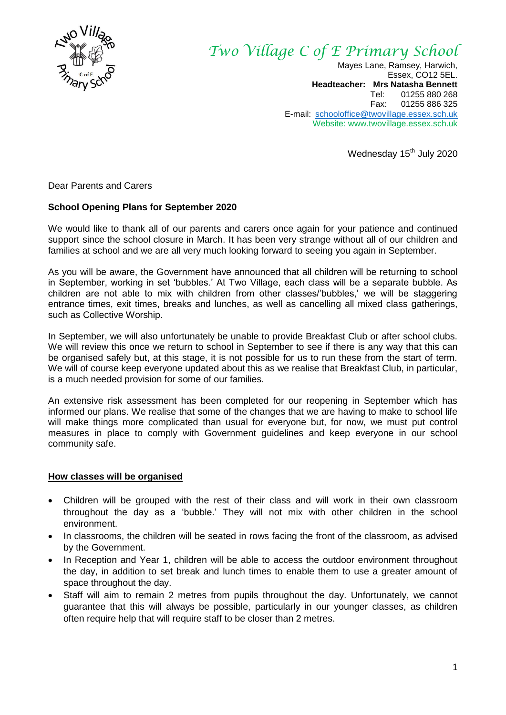

# *Two Village C of E Primary School*

Mayes Lane, Ramsey, Harwich, Essex, CO12 5EL. **Headteacher: Mrs Natasha Bennett** Tel: 01255 880 268<br>Fax: 01255 886 325 01255 886 325 E-mail: [schooloffice@twovillage.essex.sch.uk](mailto:schooloffice@twovillage.essex.sch.uk) Website: www.twovillage.essex.sch.uk

Wednesday 15<sup>th</sup> July 2020

Dear Parents and Carers

#### **School Opening Plans for September 2020**

We would like to thank all of our parents and carers once again for your patience and continued support since the school closure in March. It has been very strange without all of our children and families at school and we are all very much looking forward to seeing you again in September.

As you will be aware, the Government have announced that all children will be returning to school in September, working in set 'bubbles.' At Two Village, each class will be a separate bubble. As children are not able to mix with children from other classes/'bubbles,' we will be staggering entrance times, exit times, breaks and lunches, as well as cancelling all mixed class gatherings, such as Collective Worship.

In September, we will also unfortunately be unable to provide Breakfast Club or after school clubs. We will review this once we return to school in September to see if there is any way that this can be organised safely but, at this stage, it is not possible for us to run these from the start of term. We will of course keep everyone updated about this as we realise that Breakfast Club, in particular, is a much needed provision for some of our families.

An extensive risk assessment has been completed for our reopening in September which has informed our plans. We realise that some of the changes that we are having to make to school life will make things more complicated than usual for everyone but, for now, we must put control measures in place to comply with Government guidelines and keep everyone in our school community safe.

#### **How classes will be organised**

- Children will be grouped with the rest of their class and will work in their own classroom throughout the day as a 'bubble.' They will not mix with other children in the school environment.
- In classrooms, the children will be seated in rows facing the front of the classroom, as advised by the Government.
- In Reception and Year 1, children will be able to access the outdoor environment throughout the day, in addition to set break and lunch times to enable them to use a greater amount of space throughout the day.
- Staff will aim to remain 2 metres from pupils throughout the day. Unfortunately, we cannot guarantee that this will always be possible, particularly in our younger classes, as children often require help that will require staff to be closer than 2 metres.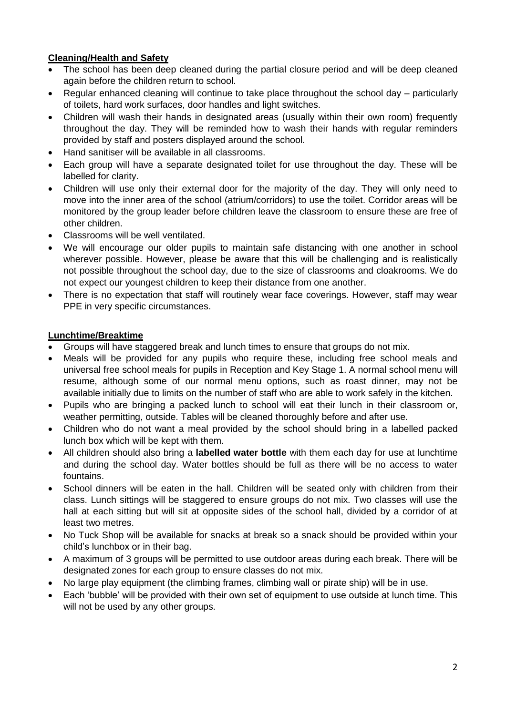# **Cleaning/Health and Safety**

- The school has been deep cleaned during the partial closure period and will be deep cleaned again before the children return to school.
- Regular enhanced cleaning will continue to take place throughout the school day particularly of toilets, hard work surfaces, door handles and light switches.
- Children will wash their hands in designated areas (usually within their own room) frequently throughout the day. They will be reminded how to wash their hands with regular reminders provided by staff and posters displayed around the school.
- Hand sanitiser will be available in all classrooms.
- Each group will have a separate designated toilet for use throughout the day. These will be labelled for clarity.
- Children will use only their external door for the majority of the day. They will only need to move into the inner area of the school (atrium/corridors) to use the toilet. Corridor areas will be monitored by the group leader before children leave the classroom to ensure these are free of other children.
- Classrooms will be well ventilated.
- We will encourage our older pupils to maintain safe distancing with one another in school wherever possible. However, please be aware that this will be challenging and is realistically not possible throughout the school day, due to the size of classrooms and cloakrooms. We do not expect our youngest children to keep their distance from one another.
- There is no expectation that staff will routinely wear face coverings. However, staff may wear PPE in very specific circumstances.

# **Lunchtime/Breaktime**

- Groups will have staggered break and lunch times to ensure that groups do not mix.
- Meals will be provided for any pupils who require these, including free school meals and universal free school meals for pupils in Reception and Key Stage 1. A normal school menu will resume, although some of our normal menu options, such as roast dinner, may not be available initially due to limits on the number of staff who are able to work safely in the kitchen.
- Pupils who are bringing a packed lunch to school will eat their lunch in their classroom or, weather permitting, outside. Tables will be cleaned thoroughly before and after use.
- Children who do not want a meal provided by the school should bring in a labelled packed lunch box which will be kept with them.
- All children should also bring a **labelled water bottle** with them each day for use at lunchtime and during the school day. Water bottles should be full as there will be no access to water fountains.
- School dinners will be eaten in the hall. Children will be seated only with children from their class. Lunch sittings will be staggered to ensure groups do not mix. Two classes will use the hall at each sitting but will sit at opposite sides of the school hall, divided by a corridor of at least two metres.
- No Tuck Shop will be available for snacks at break so a snack should be provided within your child's lunchbox or in their bag.
- A maximum of 3 groups will be permitted to use outdoor areas during each break. There will be designated zones for each group to ensure classes do not mix.
- No large play equipment (the climbing frames, climbing wall or pirate ship) will be in use.
- Each 'bubble' will be provided with their own set of equipment to use outside at lunch time. This will not be used by any other groups.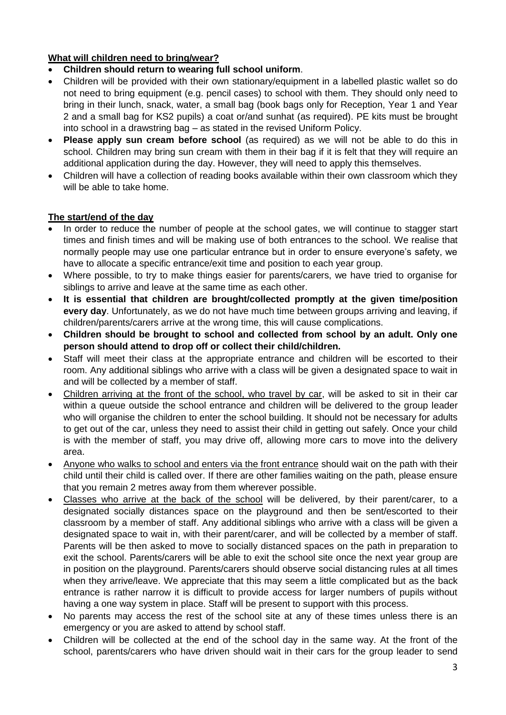# **What will children need to bring/wear?**

- **Children should return to wearing full school uniform**.
- Children will be provided with their own stationary/equipment in a labelled plastic wallet so do not need to bring equipment (e.g. pencil cases) to school with them. They should only need to bring in their lunch, snack, water, a small bag (book bags only for Reception, Year 1 and Year 2 and a small bag for KS2 pupils) a coat or/and sunhat (as required). PE kits must be brought into school in a drawstring bag – as stated in the revised Uniform Policy.
- **Please apply sun cream before school** (as required) as we will not be able to do this in school. Children may bring sun cream with them in their bag if it is felt that they will require an additional application during the day. However, they will need to apply this themselves.
- Children will have a collection of reading books available within their own classroom which they will be able to take home.

## **The start/end of the day**

- In order to reduce the number of people at the school gates, we will continue to stagger start times and finish times and will be making use of both entrances to the school. We realise that normally people may use one particular entrance but in order to ensure everyone's safety, we have to allocate a specific entrance/exit time and position to each year group.
- Where possible, to try to make things easier for parents/carers, we have tried to organise for siblings to arrive and leave at the same time as each other.
- **It is essential that children are brought/collected promptly at the given time/position every day**. Unfortunately, as we do not have much time between groups arriving and leaving, if children/parents/carers arrive at the wrong time, this will cause complications.
- **Children should be brought to school and collected from school by an adult. Only one person should attend to drop off or collect their child/children.**
- Staff will meet their class at the appropriate entrance and children will be escorted to their room. Any additional siblings who arrive with a class will be given a designated space to wait in and will be collected by a member of staff.
- Children arriving at the front of the school, who travel by car, will be asked to sit in their car within a queue outside the school entrance and children will be delivered to the group leader who will organise the children to enter the school building. It should not be necessary for adults to get out of the car, unless they need to assist their child in getting out safely. Once your child is with the member of staff, you may drive off, allowing more cars to move into the delivery area.
- Anyone who walks to school and enters via the front entrance should wait on the path with their child until their child is called over. If there are other families waiting on the path, please ensure that you remain 2 metres away from them wherever possible.
- Classes who arrive at the back of the school will be delivered, by their parent/carer, to a designated socially distances space on the playground and then be sent/escorted to their classroom by a member of staff. Any additional siblings who arrive with a class will be given a designated space to wait in, with their parent/carer, and will be collected by a member of staff. Parents will be then asked to move to socially distanced spaces on the path in preparation to exit the school. Parents/carers will be able to exit the school site once the next year group are in position on the playground. Parents/carers should observe social distancing rules at all times when they arrive/leave. We appreciate that this may seem a little complicated but as the back entrance is rather narrow it is difficult to provide access for larger numbers of pupils without having a one way system in place. Staff will be present to support with this process.
- No parents may access the rest of the school site at any of these times unless there is an emergency or you are asked to attend by school staff.
- Children will be collected at the end of the school day in the same way. At the front of the school, parents/carers who have driven should wait in their cars for the group leader to send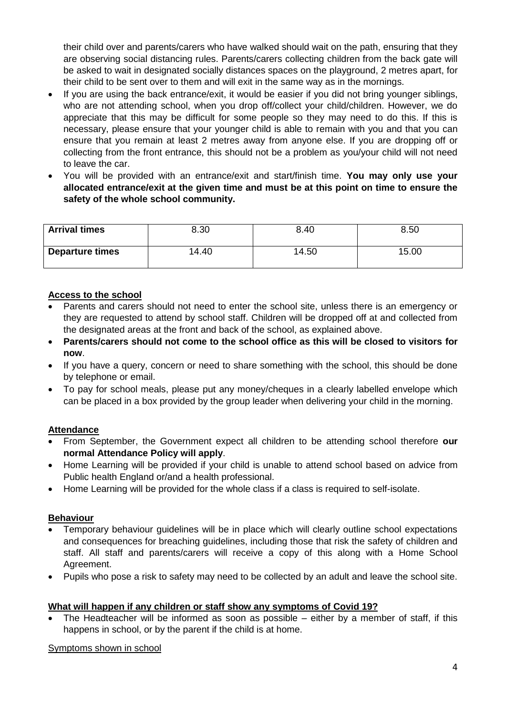their child over and parents/carers who have walked should wait on the path, ensuring that they are observing social distancing rules. Parents/carers collecting children from the back gate will be asked to wait in designated socially distances spaces on the playground, 2 metres apart, for their child to be sent over to them and will exit in the same way as in the mornings.

- If you are using the back entrance/exit, it would be easier if you did not bring younger siblings, who are not attending school, when you drop off/collect your child/children. However, we do appreciate that this may be difficult for some people so they may need to do this. If this is necessary, please ensure that your younger child is able to remain with you and that you can ensure that you remain at least 2 metres away from anyone else. If you are dropping off or collecting from the front entrance, this should not be a problem as you/your child will not need to leave the car.
- You will be provided with an entrance/exit and start/finish time. **You may only use your allocated entrance/exit at the given time and must be at this point on time to ensure the safety of the whole school community.**

| <b>Arrival times</b>   | 8.30  | 8.40  | 8.50  |
|------------------------|-------|-------|-------|
| <b>Departure times</b> | 14.40 | 14.50 | 15.00 |

## **Access to the school**

- Parents and carers should not need to enter the school site, unless there is an emergency or they are requested to attend by school staff. Children will be dropped off at and collected from the designated areas at the front and back of the school, as explained above.
- **Parents/carers should not come to the school office as this will be closed to visitors for now**.
- If you have a query, concern or need to share something with the school, this should be done by telephone or email.
- To pay for school meals, please put any money/cheques in a clearly labelled envelope which can be placed in a box provided by the group leader when delivering your child in the morning.

## **Attendance**

- From September, the Government expect all children to be attending school therefore **our normal Attendance Policy will apply**.
- Home Learning will be provided if your child is unable to attend school based on advice from Public health England or/and a health professional.
- Home Learning will be provided for the whole class if a class is required to self-isolate.

#### **Behaviour**

- Temporary behaviour guidelines will be in place which will clearly outline school expectations and consequences for breaching guidelines, including those that risk the safety of children and staff. All staff and parents/carers will receive a copy of this along with a Home School Agreement.
- Pupils who pose a risk to safety may need to be collected by an adult and leave the school site.

## **What will happen if any children or staff show any symptoms of Covid 19?**

 The Headteacher will be informed as soon as possible – either by a member of staff, if this happens in school, or by the parent if the child is at home.

#### Symptoms shown in school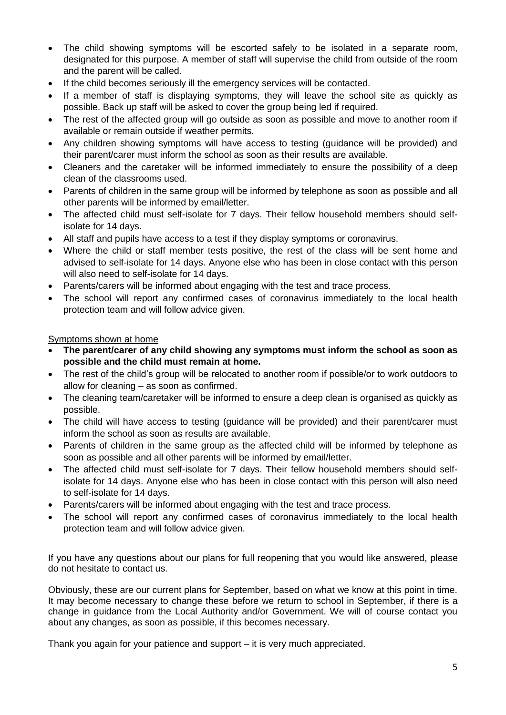- The child showing symptoms will be escorted safely to be isolated in a separate room, designated for this purpose. A member of staff will supervise the child from outside of the room and the parent will be called.
- If the child becomes seriously ill the emergency services will be contacted.
- If a member of staff is displaying symptoms, they will leave the school site as quickly as possible. Back up staff will be asked to cover the group being led if required.
- The rest of the affected group will go outside as soon as possible and move to another room if available or remain outside if weather permits.
- Any children showing symptoms will have access to testing (guidance will be provided) and their parent/carer must inform the school as soon as their results are available.
- Cleaners and the caretaker will be informed immediately to ensure the possibility of a deep clean of the classrooms used.
- Parents of children in the same group will be informed by telephone as soon as possible and all other parents will be informed by email/letter.
- The affected child must self-isolate for 7 days. Their fellow household members should selfisolate for 14 days.
- All staff and pupils have access to a test if they display symptoms or coronavirus.
- Where the child or staff member tests positive, the rest of the class will be sent home and advised to self-isolate for 14 days. Anyone else who has been in close contact with this person will also need to self-isolate for 14 days.
- Parents/carers will be informed about engaging with the test and trace process.
- The school will report any confirmed cases of coronavirus immediately to the local health protection team and will follow advice given.

## Symptoms shown at home

- **The parent/carer of any child showing any symptoms must inform the school as soon as possible and the child must remain at home.**
- The rest of the child's group will be relocated to another room if possible/or to work outdoors to allow for cleaning – as soon as confirmed.
- The cleaning team/caretaker will be informed to ensure a deep clean is organised as quickly as possible.
- The child will have access to testing (guidance will be provided) and their parent/carer must inform the school as soon as results are available.
- Parents of children in the same group as the affected child will be informed by telephone as soon as possible and all other parents will be informed by email/letter.
- The affected child must self-isolate for 7 days. Their fellow household members should selfisolate for 14 days. Anyone else who has been in close contact with this person will also need to self-isolate for 14 days.
- Parents/carers will be informed about engaging with the test and trace process.
- The school will report any confirmed cases of coronavirus immediately to the local health protection team and will follow advice given.

If you have any questions about our plans for full reopening that you would like answered, please do not hesitate to contact us.

Obviously, these are our current plans for September, based on what we know at this point in time. It may become necessary to change these before we return to school in September, if there is a change in guidance from the Local Authority and/or Government. We will of course contact you about any changes, as soon as possible, if this becomes necessary.

Thank you again for your patience and support – it is very much appreciated.